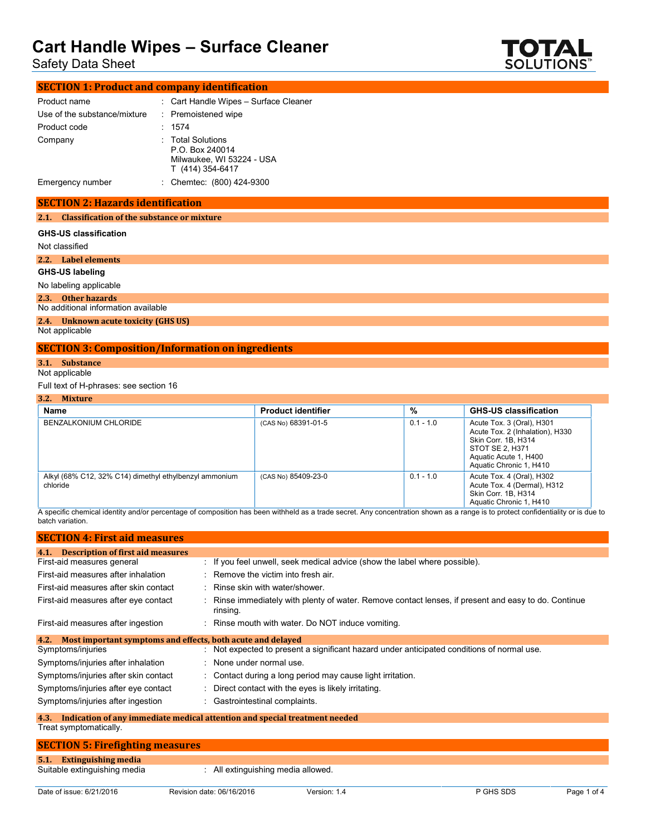Safety Data Sheet



| <b>SECTION 1: Product and company identification</b> |  |                                                                                       |
|------------------------------------------------------|--|---------------------------------------------------------------------------------------|
| Product name                                         |  | : Cart Handle Wipes - Surface Cleaner                                                 |
| Use of the substance/mixture                         |  | : Premoistened wipe                                                                   |
| Product code                                         |  | : 1574                                                                                |
| Company                                              |  | : Total Solutions<br>P.O. Box 240014<br>Milwaukee, WI 53224 - USA<br>T (414) 354-6417 |
| Emergency number                                     |  | : Chemtec: (800) 424-9300                                                             |

#### **SECTION 2: Hazards identification**

**2.1. Classification of the substance or mixture**

#### **GHS-US classification**

Not classified

**2.2. Label elements**

**GHS-US labeling**

No labeling applicable

**2.3. Other hazards**

No additional information available

### **2.4. Unknown acute toxicity (GHS US)**

Not applicable

### **SECTION 3: Composition/Information on ingredients**

### **3.1. Substance**

Not applicable

#### Full text of H-phrases: see section 16

| 3.2. Mixture                                                       |                           |             |                                                                                                                                                            |
|--------------------------------------------------------------------|---------------------------|-------------|------------------------------------------------------------------------------------------------------------------------------------------------------------|
| Name                                                               | <b>Product identifier</b> | %           | <b>GHS-US classification</b>                                                                                                                               |
| BENZALKONIUM CHLORIDE                                              | (CAS No) 68391-01-5       | $0.1 - 1.0$ | Acute Tox. 3 (Oral), H301<br>Acute Tox. 2 (Inhalation), H330<br>Skin Corr. 1B, H314<br>STOT SE 2, H371<br>Aquatic Acute 1, H400<br>Aquatic Chronic 1, H410 |
| Alkyl (68% C12, 32% C14) dimethyl ethylbenzyl ammonium<br>chloride | (CAS No) 85409-23-0       | $0.1 - 1.0$ | Acute Tox. 4 (Oral), H302<br>Acute Tox. 4 (Dermal), H312<br>Skin Corr. 1B, H314<br>Aquatic Chronic 1, H410                                                 |

A specific chemical identity and/or percentage of composition has been withheld as a trade secret. Any concentration shown as a range is to protect confidentiality or is due to batch variation.

| <b>SECTION 4: First aid measures</b>                                           |                                                                                                                |
|--------------------------------------------------------------------------------|----------------------------------------------------------------------------------------------------------------|
| <b>Description of first aid measures</b><br>4.1.<br>First-aid measures general | : If you feel unwell, seek medical advice (show the label where possible).                                     |
| First-aid measures after inhalation                                            | $\therefore$ Remove the victim into fresh air.                                                                 |
| First-aid measures after skin contact                                          | : Rinse skin with water/shower.                                                                                |
| First-aid measures after eye contact                                           | Rinse immediately with plenty of water. Remove contact lenses, if present and easy to do. Continue<br>rinsing. |
| First-aid measures after ingestion                                             | : Rinse mouth with water. Do NOT induce vomiting.                                                              |
| Most important symptoms and effects, both acute and delayed<br>4.2.            |                                                                                                                |
| Symptoms/injuries                                                              | Not expected to present a significant hazard under anticipated conditions of normal use.                       |
| Symptoms/injuries after inhalation                                             | None under normal use.                                                                                         |
| Symptoms/injuries after skin contact                                           | : Contact during a long period may cause light irritation.                                                     |
| Symptoms/injuries after eye contact                                            | Direct contact with the eyes is likely irritating.                                                             |
| Symptoms/injuries after ingestion                                              | : Gastrointestinal complaints.                                                                                 |
|                                                                                | 4.3. Indication of any immediate medical attention and special treatment needed                                |

## Treat symptomatically.

| <b>SECTION 5: Firefighting measures</b> |                                  |  |
|-----------------------------------------|----------------------------------|--|
| 5.1. Extinguishing media                |                                  |  |
| Suitable extinguishing media            | All extinguishing media allowed. |  |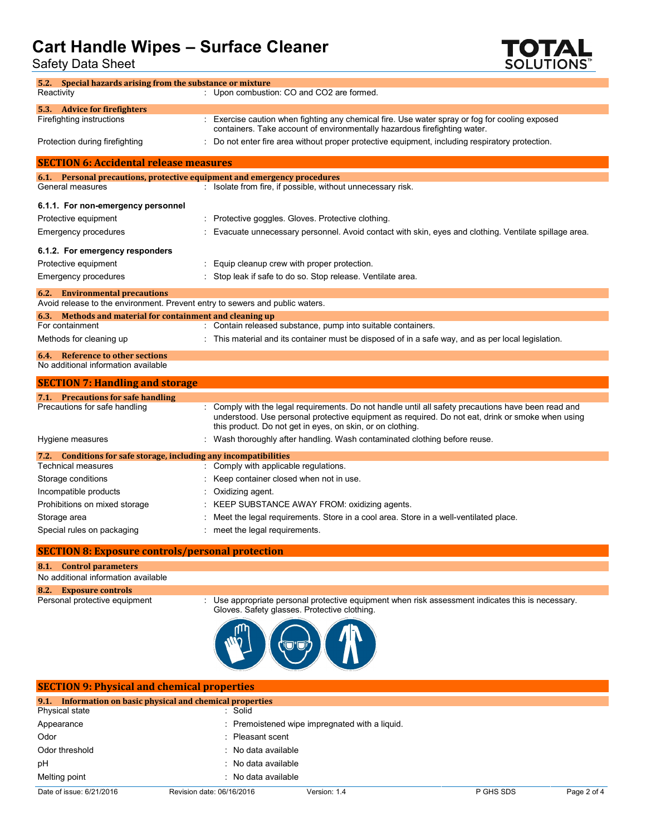Safety Data Sheet



| 5.2. Special hazards arising from the substance or mixture                   |                                                                                                                                                                                                                                                                     |
|------------------------------------------------------------------------------|---------------------------------------------------------------------------------------------------------------------------------------------------------------------------------------------------------------------------------------------------------------------|
| Reactivity                                                                   | : Upon combustion: CO and CO2 are formed.                                                                                                                                                                                                                           |
| 5.3. Advice for firefighters                                                 |                                                                                                                                                                                                                                                                     |
| Firefighting instructions                                                    | : Exercise caution when fighting any chemical fire. Use water spray or fog for cooling exposed<br>containers. Take account of environmentally hazardous firefighting water.                                                                                         |
| Protection during firefighting                                               | : Do not enter fire area without proper protective equipment, including respiratory protection.                                                                                                                                                                     |
| <b>SECTION 6: Accidental release measures</b>                                |                                                                                                                                                                                                                                                                     |
| 6.1. Personal precautions, protective equipment and emergency procedures     |                                                                                                                                                                                                                                                                     |
| General measures                                                             | : Isolate from fire, if possible, without unnecessary risk.                                                                                                                                                                                                         |
| 6.1.1. For non-emergency personnel                                           |                                                                                                                                                                                                                                                                     |
| Protective equipment                                                         | : Protective goggles. Gloves. Protective clothing.                                                                                                                                                                                                                  |
| Emergency procedures                                                         | : Evacuate unnecessary personnel. Avoid contact with skin, eyes and clothing. Ventilate spillage area.                                                                                                                                                              |
| 6.1.2. For emergency responders                                              |                                                                                                                                                                                                                                                                     |
| Protective equipment                                                         | Equip cleanup crew with proper protection.                                                                                                                                                                                                                          |
| Emergency procedures                                                         | : Stop leak if safe to do so. Stop release. Ventilate area.                                                                                                                                                                                                         |
| <b>6.2.</b> Environmental precautions                                        |                                                                                                                                                                                                                                                                     |
| Avoid release to the environment. Prevent entry to sewers and public waters. |                                                                                                                                                                                                                                                                     |
| 6.3. Methods and material for containment and cleaning up                    |                                                                                                                                                                                                                                                                     |
| For containment                                                              | : Contain released substance, pump into suitable containers.                                                                                                                                                                                                        |
| Methods for cleaning up                                                      | : This material and its container must be disposed of in a safe way, and as per local legislation.                                                                                                                                                                  |
| 6.4. Reference to other sections<br>No additional information available      |                                                                                                                                                                                                                                                                     |
| <b>SECTION 7: Handling and storage</b>                                       |                                                                                                                                                                                                                                                                     |
| 7.1. Precautions for safe handling                                           |                                                                                                                                                                                                                                                                     |
| Precautions for safe handling                                                | Comply with the legal requirements. Do not handle until all safety precautions have been read and<br>understood. Use personal protective equipment as required. Do not eat, drink or smoke when using<br>this product. Do not get in eyes, on skin, or on clothing. |
| Hygiene measures                                                             | : Wash thoroughly after handling. Wash contaminated clothing before reuse.                                                                                                                                                                                          |
| 7.2. Conditions for safe storage, including any incompatibilities            |                                                                                                                                                                                                                                                                     |
| <b>Technical measures</b>                                                    | Comply with applicable regulations.                                                                                                                                                                                                                                 |
| Storage conditions                                                           | Keep container closed when not in use.                                                                                                                                                                                                                              |
| Incompatible products                                                        | Oxidizing agent.                                                                                                                                                                                                                                                    |
| Prohibitions on mixed storage                                                | KEEP SUBSTANCE AWAY FROM: oxidizing agents.                                                                                                                                                                                                                         |
| Storage area                                                                 | Meet the legal requirements. Store in a cool area. Store in a well-ventilated place.                                                                                                                                                                                |
| Special rules on packaging                                                   | meet the legal requirements.                                                                                                                                                                                                                                        |
| <b>SECTION 8: Exposure controls/personal protection</b>                      |                                                                                                                                                                                                                                                                     |
| 8.1. Control parameters                                                      |                                                                                                                                                                                                                                                                     |
| No additional information available                                          |                                                                                                                                                                                                                                                                     |
| 8.2. Exposure controls                                                       |                                                                                                                                                                                                                                                                     |
| Personal protective equipment                                                | Use appropriate personal protective equipment when risk assessment indicates this is necessary.<br>Gloves. Safety glasses. Protective clothing.                                                                                                                     |
|                                                                              | <b>MARIAN AR</b>                                                                                                                                                                                                                                                    |



| <b>SECTION 9: Physical and chemical properties</b>         |                           |                                                |           |             |
|------------------------------------------------------------|---------------------------|------------------------------------------------|-----------|-------------|
| 9.1. Information on basic physical and chemical properties |                           |                                                |           |             |
| Physical state                                             | : Solid                   |                                                |           |             |
| Appearance                                                 |                           | : Premoistened wipe impregnated with a liquid. |           |             |
| Odor                                                       | : Pleasant scent          |                                                |           |             |
| Odor threshold                                             | : No data available       |                                                |           |             |
| pH                                                         | : No data available       |                                                |           |             |
| Melting point                                              | : No data available       |                                                |           |             |
| Date of issue: 6/21/2016                                   | Revision date: 06/16/2016 | Version: 1.4                                   | P GHS SDS | Page 2 of 4 |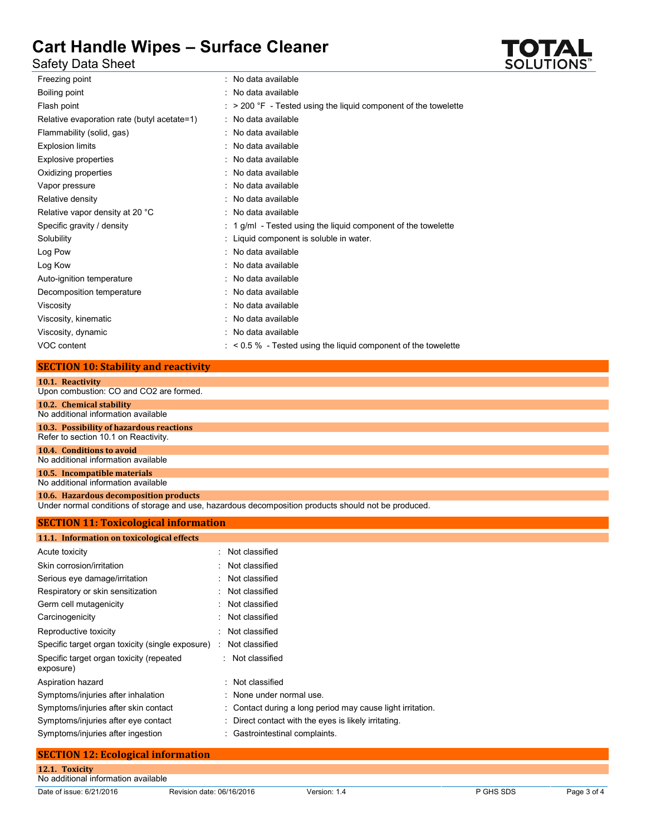### Safety Data Sheet

| : No data available                                                        |
|----------------------------------------------------------------------------|
| : No data available                                                        |
| $\therefore$ > 200 °F - Tested using the liquid component of the towelette |
| : No data available                                                        |
| : No data available                                                        |
| : No data available                                                        |
| : No data available                                                        |
| : No data available                                                        |
| : No data available                                                        |
| : No data available                                                        |
| : No data available                                                        |
| $: 1$ g/ml - Tested using the liquid component of the towelette            |
| : Liquid component is soluble in water.                                    |
| : No data available                                                        |
| : No data available                                                        |
| : No data available                                                        |
| : No data available                                                        |
| : No data available                                                        |
| : No data available                                                        |
| : No data available                                                        |
| $:$ < 0.5 % - Tested using the liquid component of the towelette           |
|                                                                            |

### **SECTION 10: Stability and reactivity**

| 10.1. Reactivity                                                                                     |
|------------------------------------------------------------------------------------------------------|
| Upon combustion: CO and CO2 are formed.                                                              |
| 10.2. Chemical stability                                                                             |
| No additional information available                                                                  |
| 10.3. Possibility of hazardous reactions                                                             |
| Refer to section 10.1 on Reactivity.                                                                 |
| 10.4. Conditions to avoid                                                                            |
| No additional information available                                                                  |
| 10.5. Incompatible materials                                                                         |
| No additional information available                                                                  |
| 10.6. Hazardous decomposition products                                                               |
| Under normal conditions of storage and use, hazardous decomposition products should not be produced. |
| $CPCTION 44. The total value of the formula is$                                                      |

| 11.1. Information on toxicological effects            |                                                            |
|-------------------------------------------------------|------------------------------------------------------------|
| Acute toxicity                                        | : Not classified                                           |
| Skin corrosion/irritation                             | : Not classified                                           |
| Serious eye damage/irritation                         | : Not classified                                           |
| Respiratory or skin sensitization                     | : Not classified                                           |
| Germ cell mutagenicity                                | : Not classified                                           |
| Carcinogenicity                                       | : Not classified                                           |
| Reproductive toxicity                                 | Not classified                                             |
| Specific target organ toxicity (single exposure)      | Not classified<br>÷                                        |
| Specific target organ toxicity (repeated<br>exposure) | : Not classified                                           |
| Aspiration hazard                                     | : Not classified                                           |
| Symptoms/injuries after inhalation                    | : None under normal use.                                   |
| Symptoms/injuries after skin contact                  | : Contact during a long period may cause light irritation. |
| Symptoms/injuries after eye contact                   | : Direct contact with the eyes is likely irritating.       |
| Symptoms/injuries after ingestion                     | : Gastrointestinal complaints.                             |

## **SECTION 12: Ecological information 12.1. Toxicity** No additional information available